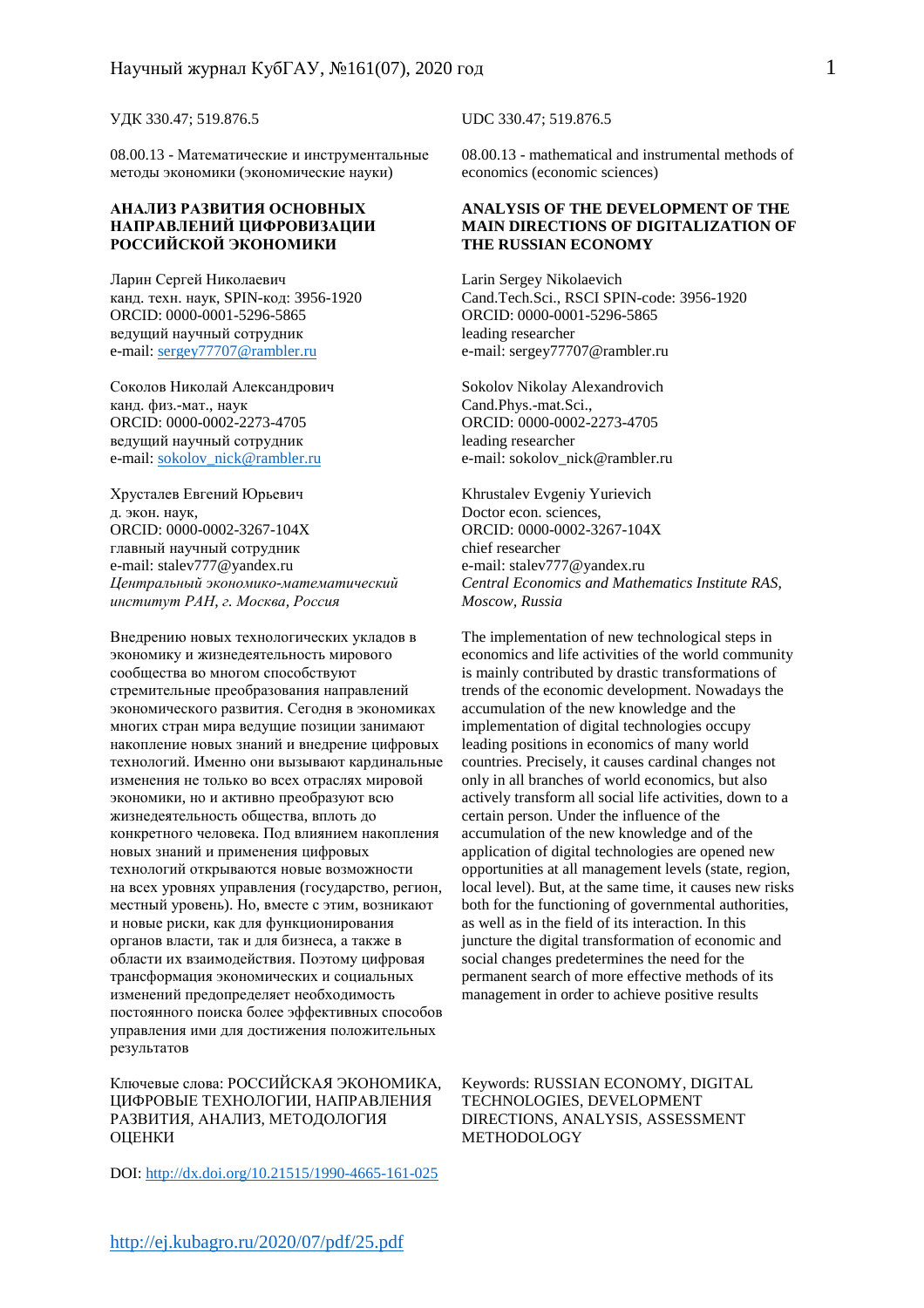УДК 330.47; 519.876.5 UDC 330.47; 519.876.5

08.00.13 - Математические и инструментальные методы экономики (экономические науки)

### **АНАЛИЗ РАЗВИТИЯ ОСНОВНЫХ НАПРАВЛЕНИЙ ЦИФРОВИЗАЦИИ РОССИЙСКОЙ ЭКОНОМИКИ**

Ларин Сергей Николаевич канд. техн. наук, SPIN-код: 3956-1920 ORCID: 0000-0001-5296-5865 ведущий научный сотрудник e-mail: sergey77707@rambler.ru

Соколов Николай Александрович канд. физ.-мат., наук ORCID: 0000-0002-2273-4705 ведущий научный сотрудник e-mail: sokolov\_nick@rambler.ru

Хрусталев Евгений Юрьевич д. экон. наук, ORCID: 0000-0002-3267-104X главный научный сотрудник e-mail: stalev777@yandex.ru *Центральный экономико-математический институт РАН, г. Москва, Россия*

Внедрению новых технологических укладов в экономику и жизнедеятельность мирового сообщества во многом способствуют стремительные преобразования направлений экономического развития. Сегодня в экономиках многих стран мира ведущие позиции занимают накопление новых знаний и внедрение цифровых технологий. Именно они вызывают кардинальные изменения не только во всех отраслях мировой экономики, но и активно преобразуют всю жизнедеятельность общества, вплоть до конкретного человека. Под влиянием накопления новых знаний и применения цифровых технологий открываются новые возможности на всех уровнях управления (государство, регион, местный уровень). Но, вместе с этим, возникают и новые риски, как для функционирования органов власти, так и для бизнеса, а также в области их взаимодействия. Поэтому цифровая трансформация экономических и социальных изменений предопределяет необходимость постоянного поиска более эффективных способов управления ими для достижения положительных результатов

Ключевые слова: РОССИЙСКАЯ ЭКОНОМИКА, ЦИФРОВЫЕ ТЕХНОЛОГИИ, НАПРАВЛЕНИЯ РАЗВИТИЯ, АНАЛИЗ, МЕТОДОЛОГИЯ ОЦЕНКИ

DOI: http://dx.doi.org/10.21515/1990-4665-161-025

08.00.13 - mathematical and instrumental methods of economics (economic sciences)

### **ANALYSIS OF THE DEVELOPMENT OF THE MAIN DIRECTIONS OF DIGITALIZATION OF THE RUSSIAN ECONOMY**

Larin Sergey Nikolaevich Cand.Tech.Sci., RSCI SPIN-code: 3956-1920 ORCID: 0000-0001-5296-5865 leading researcher e-mail: sergey77707@rambler.ru

Sokolov Nikolay Alexandrovich Cand.Phys.-mat.Sci., ORCID: 0000-0002-2273-4705 leading researcher e-mail: sokolov\_nick@rambler.ru

Khrustalev Evgeniy Yurievich Doctor econ. sciences, ORCID: 0000-0002-3267-104X chief researcher e-mail: stalev777@yandex.ru *Central Economics and Mathematics Institute RAS, Moscow, Russia* 

The implementation of new technological steps in economics and life activities of the world community is mainly contributed by drastic transformations of trends of the economic development. Nowadays the accumulation of the new knowledge and the implementation of digital technologies occupy leading positions in economics of many world countries. Precisely, it causes cardinal changes not only in all branches of world economics, but also actively transform all social life activities, down to a certain person. Under the influence of the accumulation of the new knowledge and of the application of digital technologies are opened new opportunities at all management levels (state, region, local level). But, at the same time, it causes new risks both for the functioning of governmental authorities, as well as in the field of its interaction. In this juncture the digital transformation of economic and social changes predetermines the need for the permanent search of more effective methods of its management in order to achieve positive results

Keywords: RUSSIAN ECONOMY, DIGITAL TECHNOLOGIES, DEVELOPMENT DIRECTIONS, ANALYSIS, ASSESSMENT METHODOLOGY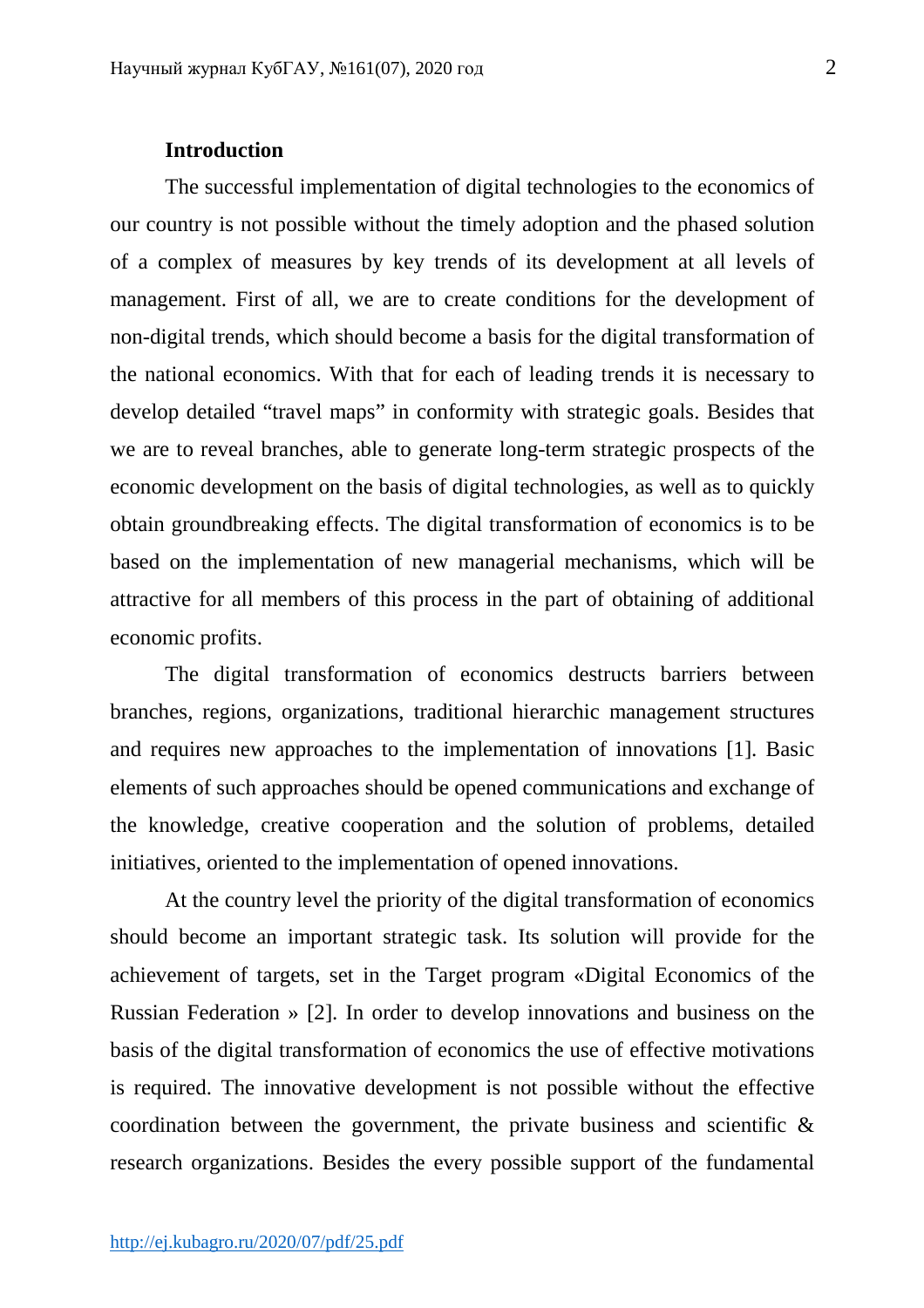# **Introduction**

The successful implementation of digital technologies to the economics of our country is not possible without the timely adoption and the phased solution of a complex of measures by key trends of its development at all levels of management. First of all, we are to create conditions for the development of non-digital trends, which should become a basis for the digital transformation of the national economics. With that for each of leading trends it is necessary to develop detailed "travel maps" in conformity with strategic goals. Besides that we are to reveal branches, able to generate long-term strategic prospects of the economic development on the basis of digital technologies, as well as to quickly obtain groundbreaking effects. The digital transformation of economics is to be based on the implementation of new managerial mechanisms, which will be attractive for all members of this process in the part of obtaining of additional economic profits.

The digital transformation of economics destructs barriers between branches, regions, organizations, traditional hierarchic management structures and requires new approaches to the implementation of innovations [1]. Basic elements of such approaches should be opened communications and exchange of the knowledge, creative cooperation and the solution of problems, detailed initiatives, oriented to the implementation of opened innovations.

At the country level the priority of the digital transformation of economics should become an important strategic task. Its solution will provide for the achievement of targets, set in the Target program «Digital Economics of the Russian Federation » [2]. In order to develop innovations and business on the basis of the digital transformation of economics the use of effective motivations is required. The innovative development is not possible without the effective coordination between the government, the private business and scientific & research organizations. Besides the every possible support of the fundamental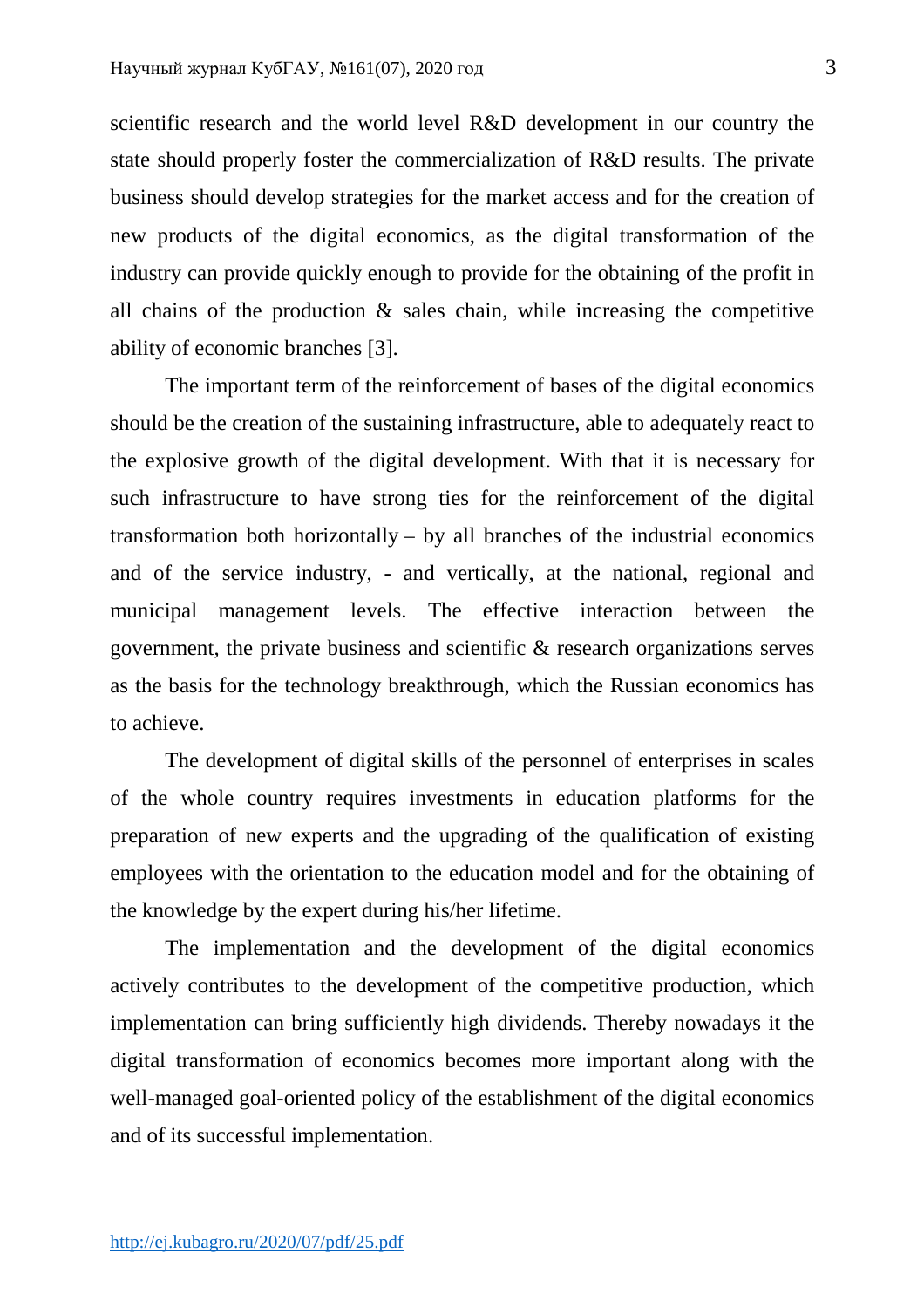scientific research and the world level R&D development in our country the state should properly foster the commercialization of R&D results. The private business should develop strategies for the market access and for the creation of new products of the digital economics, as the digital transformation of the industry can provide quickly enough to provide for the obtaining of the profit in all chains of the production & sales chain, while increasing the competitive ability of economic branches [3].

The important term of the reinforcement of bases of the digital economics should be the creation of the sustaining infrastructure, able to adequately react to the explosive growth of the digital development. With that it is necessary for such infrastructure to have strong ties for the reinforcement of the digital transformation both horizontally – by all branches of the industrial economics and of the service industry, - and vertically, at the national, regional and municipal management levels. The effective interaction between the government, the private business and scientific & research organizations serves as the basis for the technology breakthrough, which the Russian economics has to achieve.

The development of digital skills of the personnel of enterprises in scales of the whole country requires investments in education platforms for the preparation of new experts and the upgrading of the qualification of existing employees with the orientation to the education model and for the obtaining of the knowledge by the expert during his/her lifetime.

The implementation and the development of the digital economics actively contributes to the development of the competitive production, which implementation can bring sufficiently high dividends. Thereby nowadays it the digital transformation of economics becomes more important along with the well-managed goal-oriented policy of the establishment of the digital economics and of its successful implementation.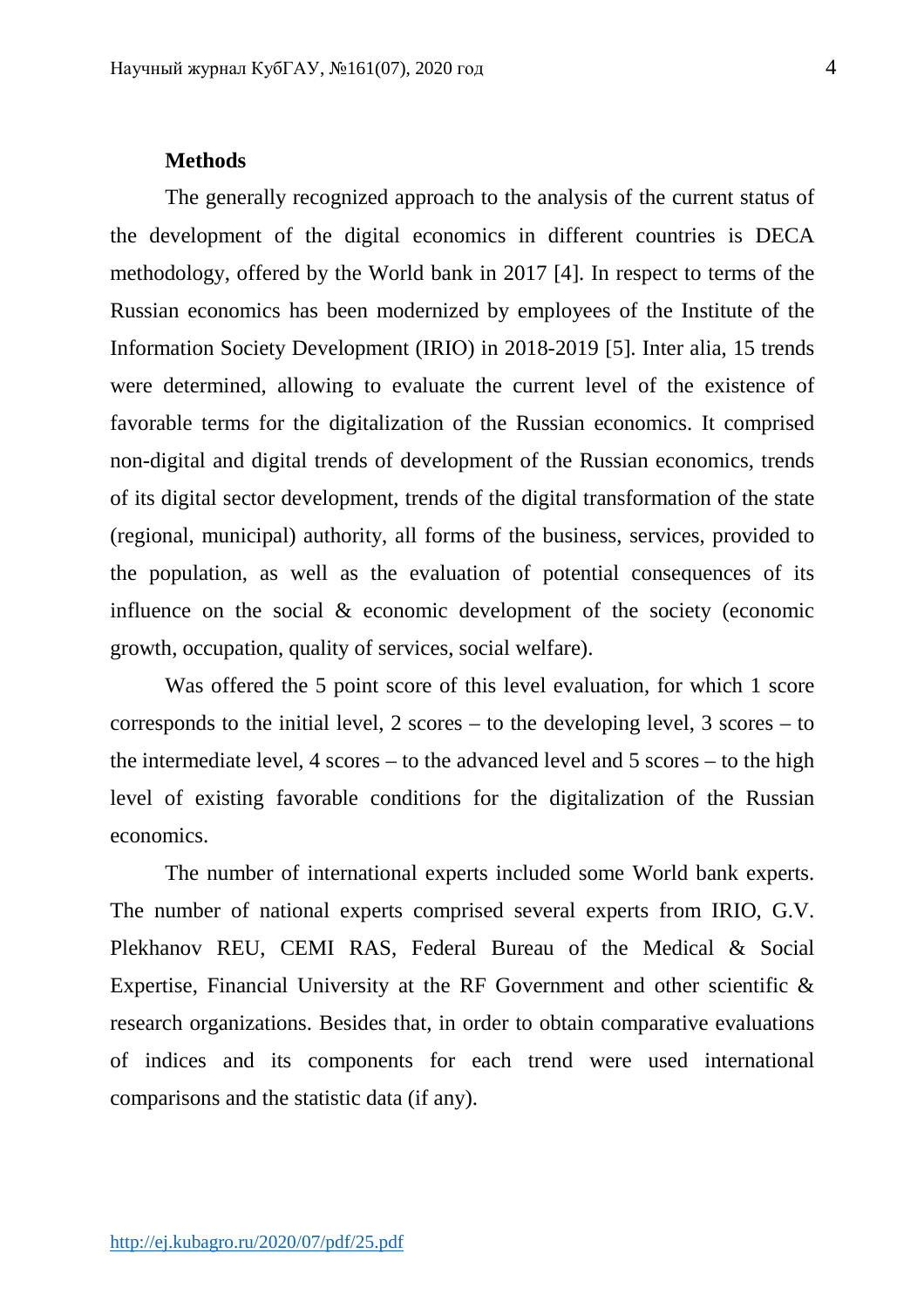## **Methods**

The generally recognized approach to the analysis of the current status of the development of the digital economics in different countries is DECA methodology, offered by the World bank in 2017 [4]. In respect to terms of the Russian economics has been modernized by employees of the Institute of the Information Society Development (IRIО) in 2018-2019 [5]. Inter alia, 15 trends were determined, allowing to evaluate the current level of the existence of favorable terms for the digitalization of the Russian economics. It comprised non-digital and digital trends of development of the Russian economics, trends of its digital sector development, trends of the digital transformation of the state (regional, municipal) authority, all forms of the business, services, provided to the population, as well as the evaluation of potential consequences of its influence on the social & economic development of the society (economic growth, occupation, quality of services, social welfare).

Was offered the 5 point score of this level evaluation, for which 1 score corresponds to the initial level, 2 scores – to the developing level, 3 scores – to the intermediate level, 4 scores – to the advanced level and 5 scores – to the high level of existing favorable conditions for the digitalization of the Russian economics.

The number of international experts included some World bank experts. The number of national experts comprised several experts from IRIO, G.V. Plekhanov REU, CEMI RAS, Federal Bureau of the Medical & Social Expertise, Financial University at the RF Government and other scientific & research organizations. Besides that, in order to obtain comparative evaluations of indices and its components for each trend were used international comparisons and the statistic data (if any).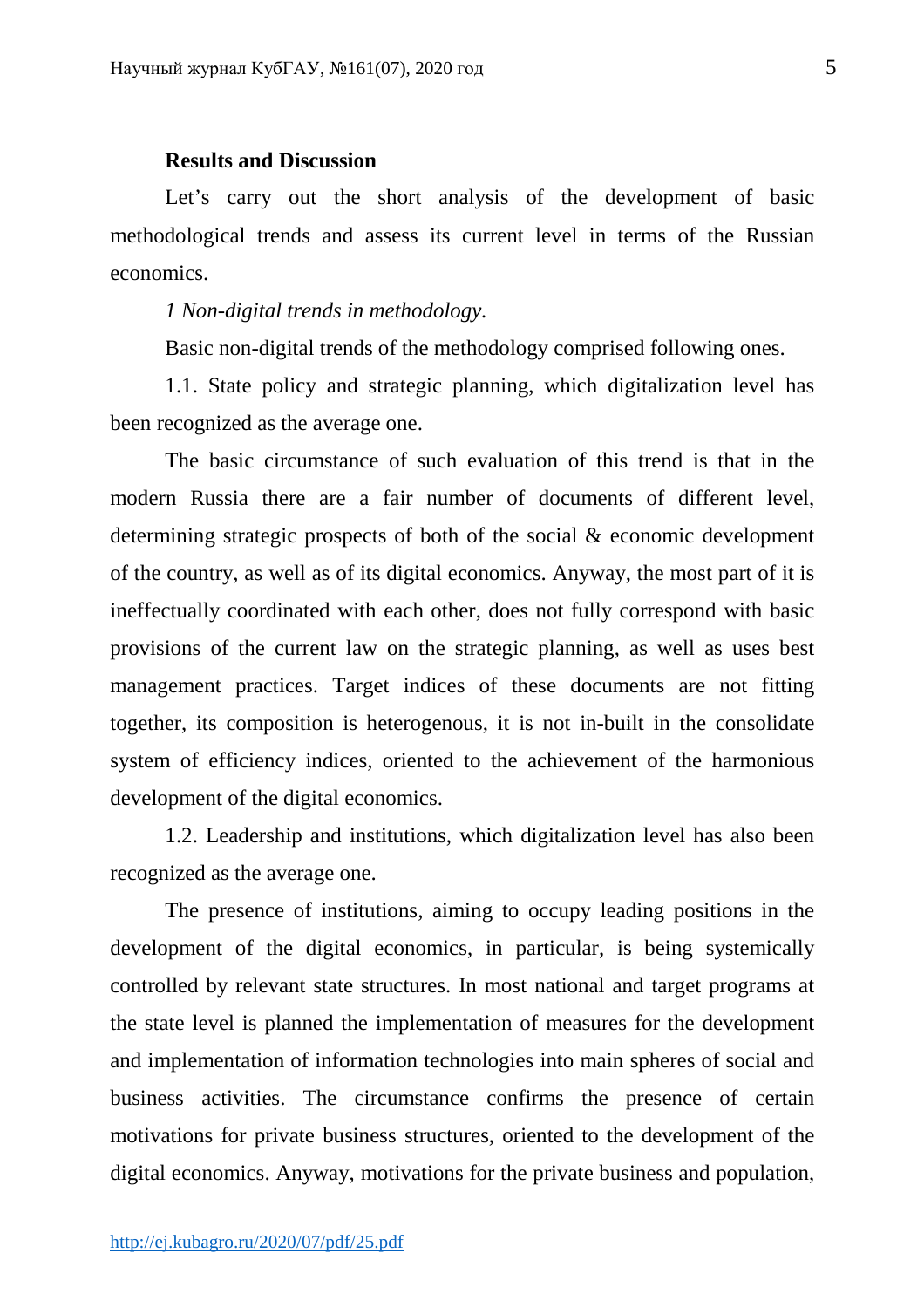### **Results and Discussion**

Let's carry out the short analysis of the development of basic methodological trends and assess its current level in terms of the Russian economics.

*1 Non-digital trends in methodology.* 

Basic non-digital trends of the methodology comprised following ones.

1.1. State policy and strategic planning, which digitalization level has been recognized as the average one.

The basic circumstance of such evaluation of this trend is that in the modern Russia there are a fair number of documents of different level, determining strategic prospects of both of the social & economic development of the country, as well as of its digital economics. Anyway, the most part of it is ineffectually coordinated with each other, does not fully correspond with basic provisions of the current law on the strategic planning, as well as uses best management practices. Target indices of these documents are not fitting together, its composition is heterogenous, it is not in-built in the consolidate system of efficiency indices, oriented to the achievement of the harmonious development of the digital economics.

1.2. Leadership and institutions, which digitalization level has also been recognized as the average one.

The presence of institutions, aiming to occupy leading positions in the development of the digital economics, in particular, is being systemically controlled by relevant state structures. In most national and target programs at the state level is planned the implementation of measures for the development and implementation of information technologies into main spheres of social and business activities. The circumstance confirms the presence of certain motivations for private business structures, oriented to the development of the digital economics. Anyway, motivations for the private business and population,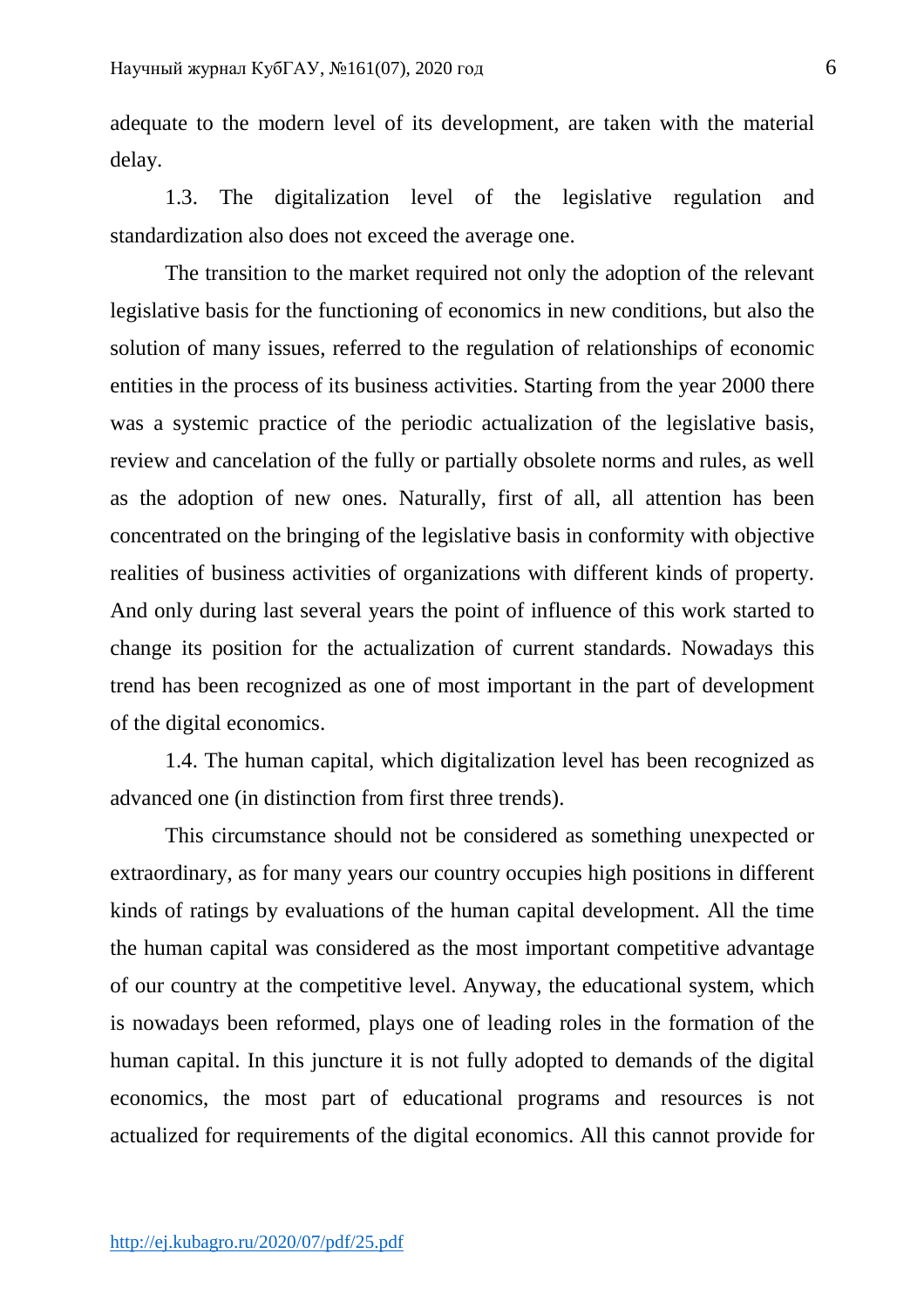adequate to the modern level of its development, are taken with the material delay.

1.3. The digitalization level of the legislative regulation and standardization also does not exceed the average one.

The transition to the market required not only the adoption of the relevant legislative basis for the functioning of economics in new conditions, but also the solution of many issues, referred to the regulation of relationships of economic entities in the process of its business activities. Starting from the year 2000 there was a systemic practice of the periodic actualization of the legislative basis, review and cancelation of the fully or partially obsolete norms and rules, as well as the adoption of new ones. Naturally, first of all, all attention has been concentrated on the bringing of the legislative basis in conformity with objective realities of business activities of organizations with different kinds of property. And only during last several years the point of influence of this work started to change its position for the actualization of current standards. Nowadays this trend has been recognized as one of most important in the part of development of the digital economics.

1.4. The human capital, which digitalization level has been recognized as advanced one (in distinction from first three trends).

This circumstance should not be considered as something unexpected or extraordinary, as for many years our country occupies high positions in different kinds of ratings by evaluations of the human capital development. All the time the human capital was considered as the most important competitive advantage of our country at the competitive level. Anyway, the educational system, which is nowadays been reformed, plays one of leading roles in the formation of the human capital. In this juncture it is not fully adopted to demands of the digital economics, the most part of educational programs and resources is not actualized for requirements of the digital economics. All this cannot provide for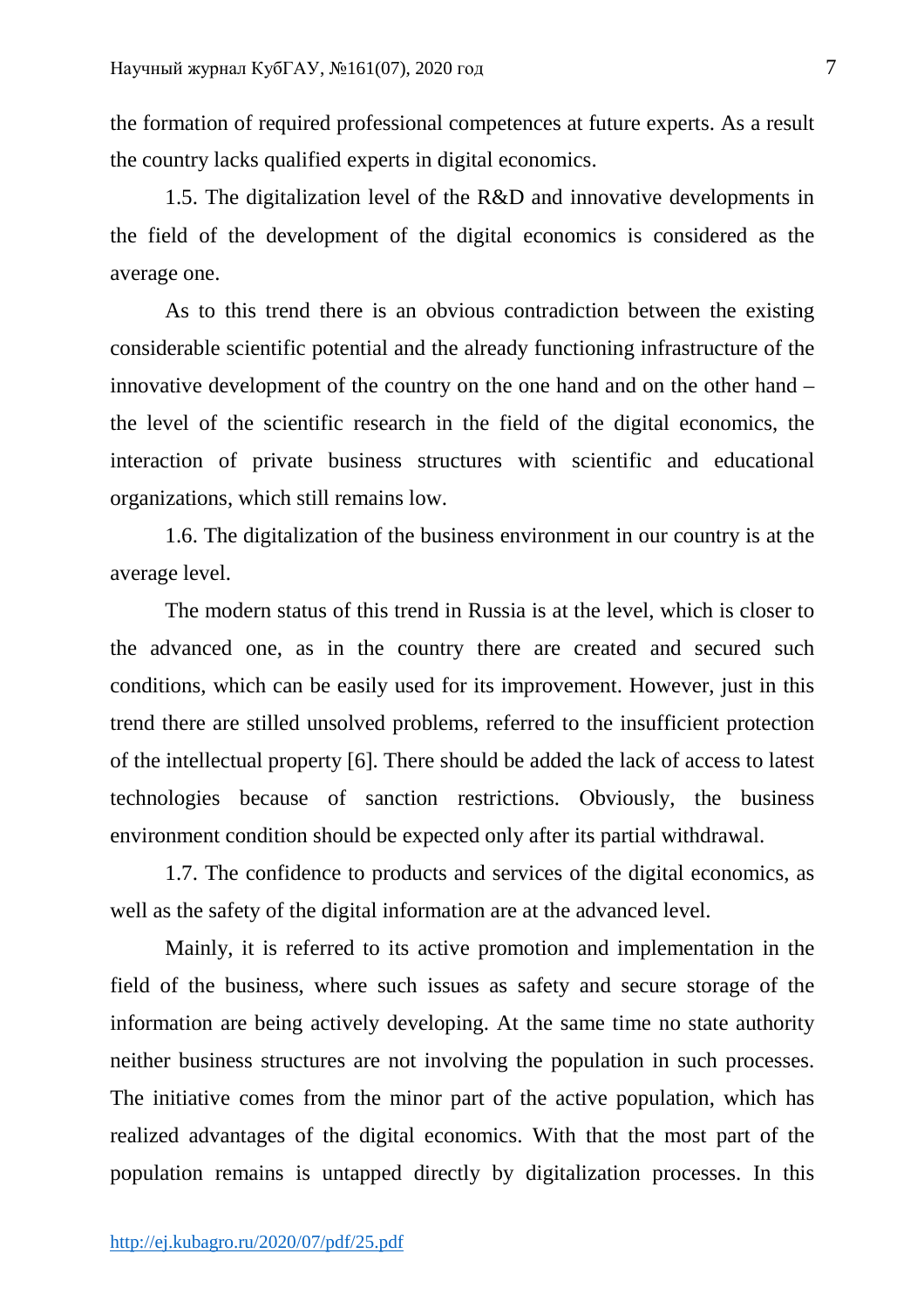the formation of required professional competences at future experts. As a result the country lacks qualified experts in digital economics.

1.5. The digitalization level of the R&D and innovative developments in the field of the development of the digital economics is considered as the average one.

As to this trend there is an obvious contradiction between the existing considerable scientific potential and the already functioning infrastructure of the innovative development of the country on the one hand and on the other hand – the level of the scientific research in the field of the digital economics, the interaction of private business structures with scientific and educational organizations, which still remains low.

1.6. The digitalization of the business environment in our country is at the average level.

The modern status of this trend in Russia is at the level, which is closer to the advanced one, as in the country there are created and secured such conditions, which can be easily used for its improvement. However, just in this trend there are stilled unsolved problems, referred to the insufficient protection of the intellectual property [6]. There should be added the lack of access to latest technologies because of sanction restrictions. Оbviously, the business environment condition should be expected only after its partial withdrawal.

1.7. The confidence to products and services of the digital economics, as well as the safety of the digital information are at the advanced level.

Mainly, it is referred to its active promotion and implementation in the field of the business, where such issues as safety and secure storage of the information are being actively developing. At the same time no state authority neither business structures are not involving the population in such processes. The initiative comes from the minor part of the active population, which has realized advantages of the digital economics. With that the most part of the population remains is untapped directly by digitalization processes. In this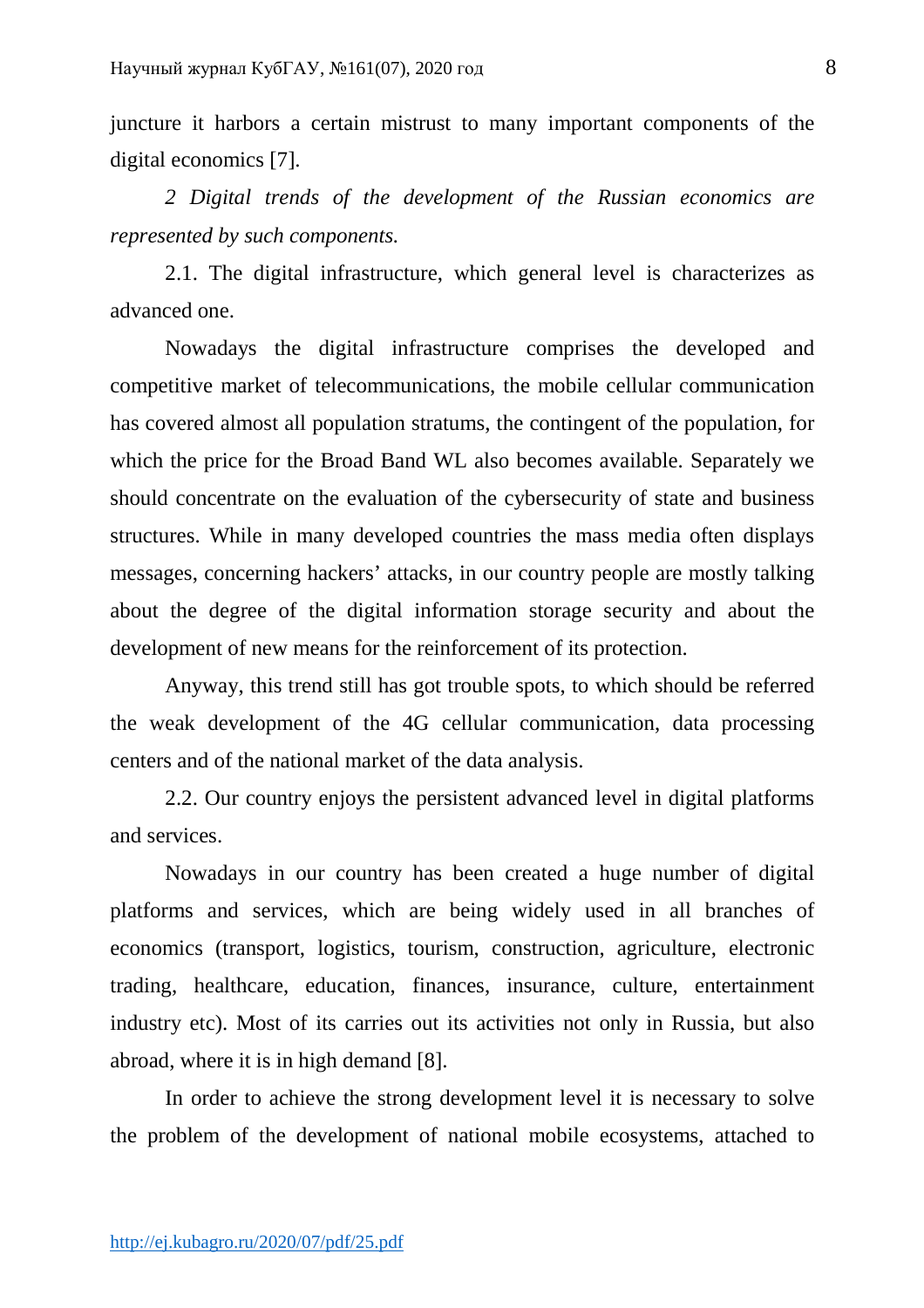juncture it harbors a certain mistrust to many important components of the digital economics [7].

*2 Digital trends of the development of the Russian economics are represented by such components.* 

2.1. The digital infrastructure, which general level is characterizes as advanced one.

Nowadays the digital infrastructure comprises the developed and competitive market of telecommunications, the mobile cellular communication has covered almost all population stratums, the contingent of the population, for which the price for the Broad Band WL also becomes available. Separately we should concentrate on the evaluation of the cybersecurity of state and business structures. While in many developed countries the mass media often displays messages, concerning hackers' attacks, in our country people are mostly talking about the degree of the digital information storage security and about the development of new means for the reinforcement of its protection.

Anyway, this trend still has got trouble spots, to which should be referred the weak development of the 4G cellular communication, data processing centers and of the national market of the data analysis.

2.2. Our country enjoys the persistent advanced level in digital platforms and services.

Nowadays in our country has been created a huge number of digital platforms and services, which are being widely used in all branches of economics (transport, logistics, tourism, construction, agriculture, electronic trading, healthcare, education, finances, insurance, culture, entertainment industry etc). Most of its carries out its activities not only in Russia, but also abroad, where it is in high demand [8].

In order to achieve the strong development level it is necessary to solve the problem of the development of national mobile ecosystems, attached to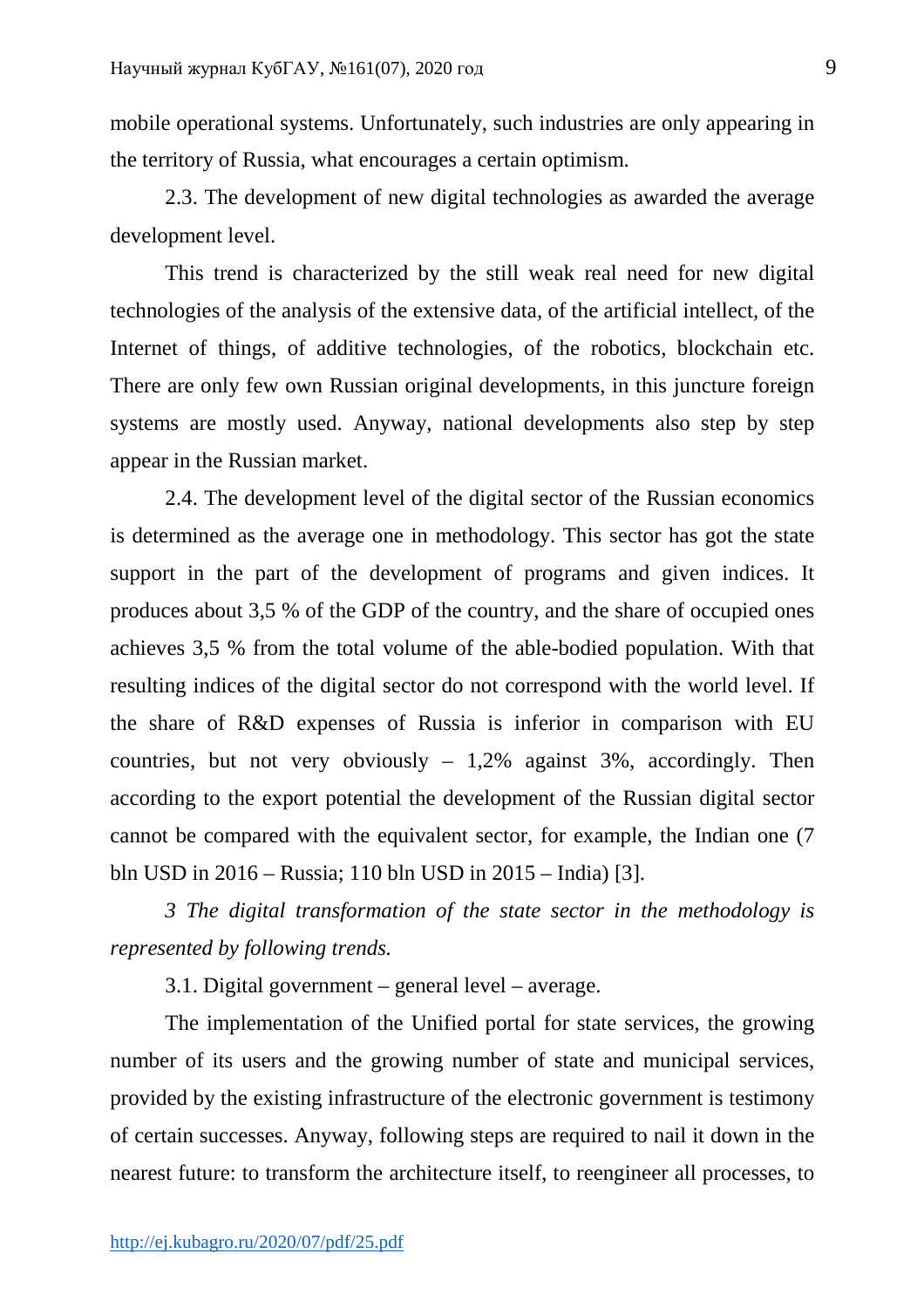mobile operational systems. Unfortunately, such industries are only appearing in the territory of Russia, what encourages a certain optimism.

2.3. The development of new digital technologies as awarded the average development level.

This trend is characterized by the still weak real need for new digital technologies of the analysis of the extensive data, of the artificial intellect, of the Internet of things, of additive technologies, of the robotics, blockchain etc. There are only few own Russian original developments, in this juncture foreign systems are mostly used. Anyway, national developments also step by step appear in the Russian market.

2.4. The development level of the digital sector of the Russian economics is determined as the average one in methodology. This sector has got the state support in the part of the development of programs and given indices. It produces about 3,5 % of the GDP of the country, and the share of occupied ones achieves 3,5 % from the total volume of the able-bodied population. With that resulting indices of the digital sector do not correspond with the world level. If the share of R&D expenses of Russia is inferior in comparison with EU countries, but not very obviously  $-1,2\%$  against 3%, accordingly. Then according to the export potential the development of the Russian digital sector cannot be compared with the equivalent sector, for example, the Indian one (7 bln USD in 2016 – Russia; 110 bln USD in 2015 – India) [3].

*3 The digital transformation of the state sector in the methodology is represented by following trends.* 

3.1. Digital government – general level – average.

The implementation of the Unified portal for state services, the growing number of its users and the growing number of state and municipal services, provided by the existing infrastructure of the electronic government is testimony of certain successes. Anyway, following steps are required to nail it down in the nearest future: to transform the architecture itself, to reengineer all processes, to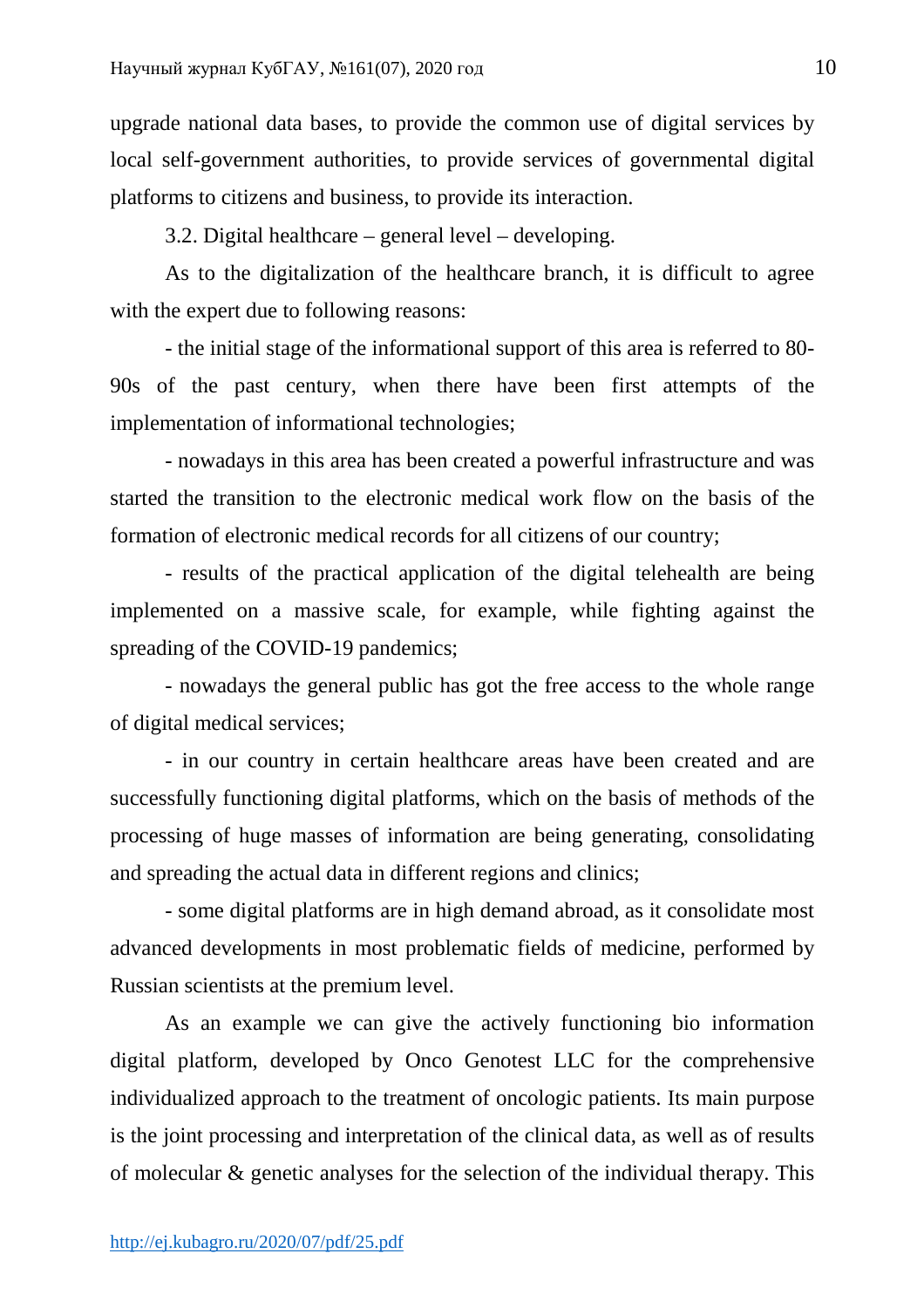upgrade national data bases, to provide the common use of digital services by local self-government authorities, to provide services of governmental digital platforms to citizens and business, to provide its interaction.

3.2. Digital healthcare – general level – developing.

As to the digitalization of the healthcare branch, it is difficult to agree with the expert due to following reasons:

- the initial stage of the informational support of this area is referred to 80- 90s of the past century, when there have been first attempts of the implementation of informational technologies;

- nowadays in this area has been created a powerful infrastructure and was started the transition to the electronic medical work flow on the basis of the formation of electronic medical records for all citizens of our country;

- results of the practical application of the digital telehealth are being implemented on a massive scale, for example, while fighting against the spreading of the COVID-19 pandemics;

- nowadays the general public has got the free access to the whole range of digital medical services;

- in our country in certain healthcare areas have been created and are successfully functioning digital platforms, which on the basis of methods of the processing of huge masses of information are being generating, consolidating and spreading the actual data in different regions and clinics;

- some digital platforms are in high demand abroad, as it consolidate most advanced developments in most problematic fields of medicine, performed by Russian scientists at the premium level.

As an example we can give the actively functioning bio information digital platform, developed by Onco Genotest LLC for the comprehensive individualized approach to the treatment of oncologic patients. Its main purpose is the joint processing and interpretation of the clinical data, as well as of results of molecular & genetic analyses for the selection of the individual therapy. This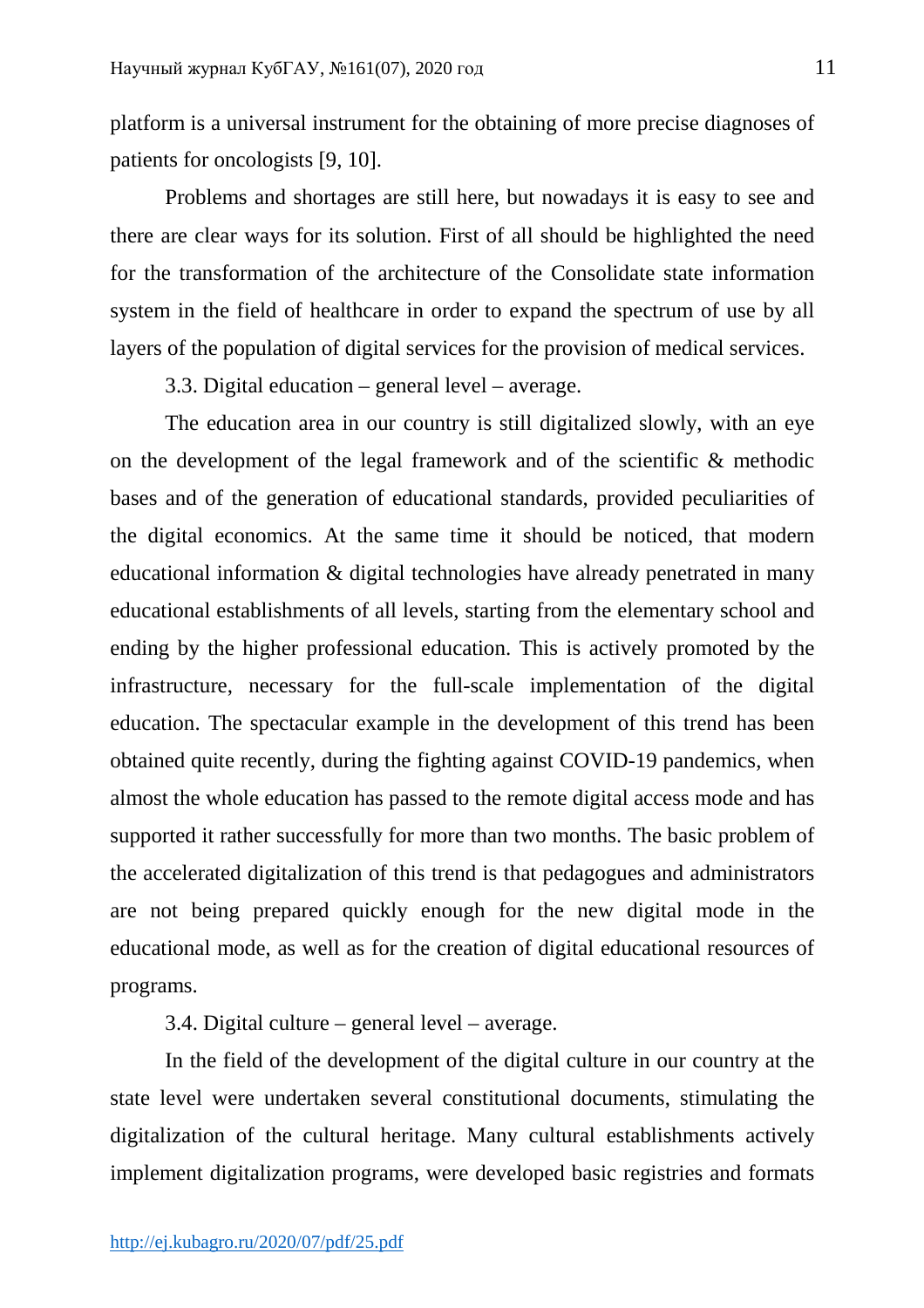platform is a universal instrument for the obtaining of more precise diagnoses of patients for oncologists [9, 10].

Problems and shortages are still here, but nowadays it is easy to see and there are clear ways for its solution. First of all should be highlighted the need for the transformation of the architecture of the Consolidate state information system in the field of healthcare in order to expand the spectrum of use by all layers of the population of digital services for the provision of medical services.

3.3. Digital education – general level – average.

The education area in our country is still digitalized slowly, with an eye on the development of the legal framework and of the scientific & methodic bases and of the generation of educational standards, provided peculiarities of the digital economics. At the same time it should be noticed, that modern educational information & digital technologies have already penetrated in many educational establishments of all levels, starting from the elementary school and ending by the higher professional education. This is actively promoted by the infrastructure, necessary for the full-scale implementation of the digital education. The spectacular example in the development of this trend has been obtained quite recently, during the fighting against COVID-19 pandemics, when almost the whole education has passed to the remote digital access mode and has supported it rather successfully for more than two months. The basic problem of the accelerated digitalization of this trend is that pedagogues and administrators are not being prepared quickly enough for the new digital mode in the educational mode, as well as for the creation of digital educational resources of programs.

3.4. Digital culture – general level – average.

In the field of the development of the digital culture in our country at the state level were undertaken several constitutional documents, stimulating the digitalization of the cultural heritage. Мany cultural establishments actively implement digitalization programs, were developed basic registries and formats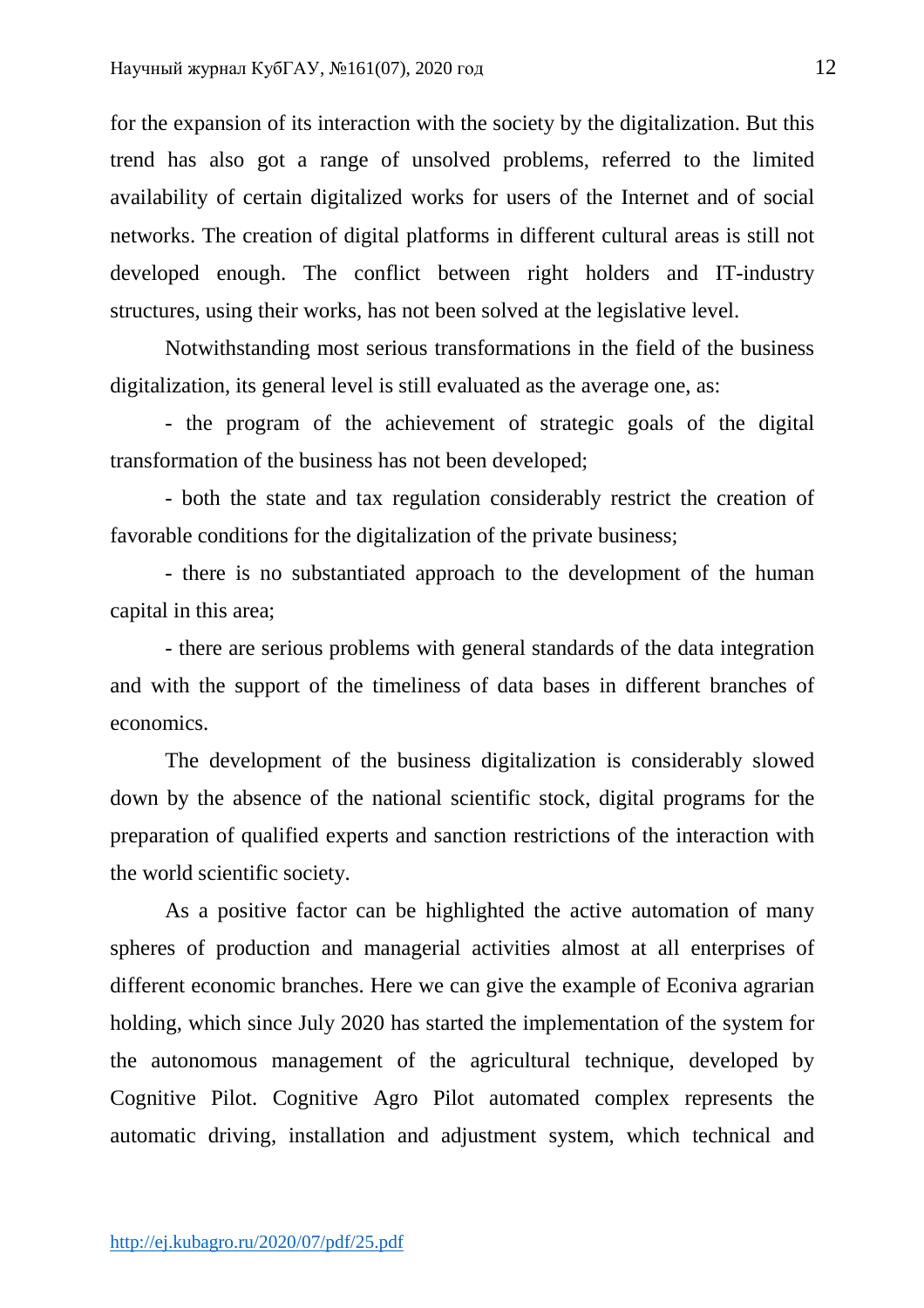for the expansion of its interaction with the society by the digitalization. But this trend has also got a range of unsolved problems, referred to the limited availability of certain digitalized works for users of the Internet and of social networks. The creation of digital platforms in different cultural areas is still not developed enough. The conflict between right holders and IT-industry structures, using their works, has not been solved at the legislative level.

Notwithstanding most serious transformations in the field of the business digitalization, its general level is still evaluated as the average one, as:

- the program of the achievement of strategic goals of the digital transformation of the business has not been developed;

- both the state and tax regulation considerably restrict the creation of favorable conditions for the digitalization of the private business;

- there is no substantiated approach to the development of the human capital in this area;

- there are serious problems with general standards of the data integration and with the support of the timeliness of data bases in different branches of economics.

The development of the business digitalization is considerably slowed down by the absence of the national scientific stock, digital programs for the preparation of qualified experts and sanction restrictions of the interaction with the world scientific society.

As a positive factor can be highlighted the active automation of many spheres of production and managerial activities almost at all enterprises of different economic branches. Here we can give the example of Econiva agrarian holding, which since July 2020 has started the implementation of the system for the autonomous management of the agricultural technique, developed by Cognitive Pilot. Cognitive Agro Pilot automated complex represents the automatic driving, installation and adjustment system, which technical and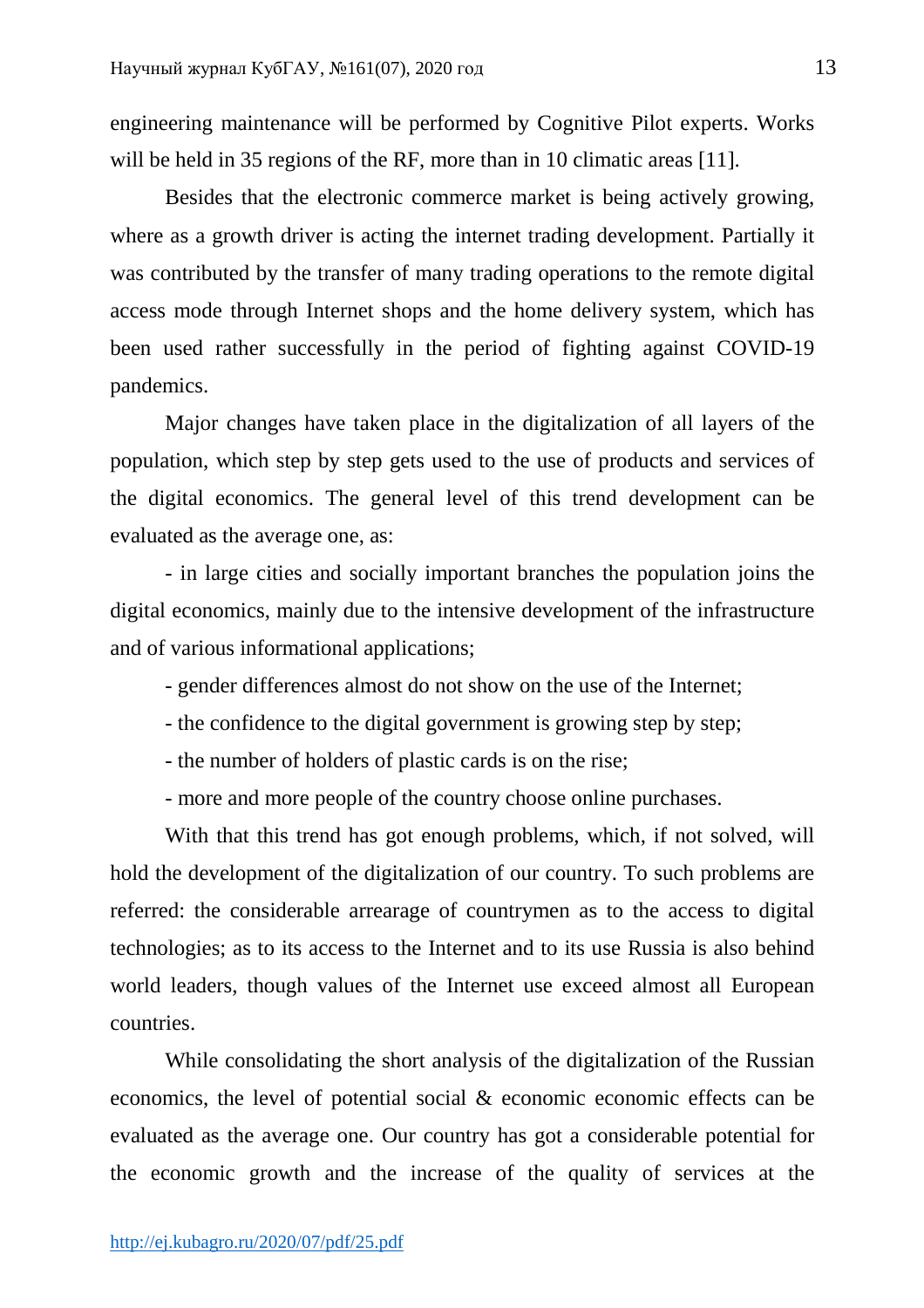engineering maintenance will be performed by Cognitive Pilot experts. Works will be held in 35 regions of the RF, more than in 10 climatic areas [11].

Besides that the electronic commerce market is being actively growing, where as a growth driver is acting the internet trading development. Partially it was contributed by the transfer of many trading operations to the remote digital access mode through Internet shops and the home delivery system, which has been used rather successfully in the period of fighting against COVID-19 pandemics.

Major changes have taken place in the digitalization of all layers of the population, which step by step gets used to the use of products and services of the digital economics. The general level of this trend development can be evaluated as the average one, as:

- in large cities and socially important branches the population joins the digital economics, mainly due to the intensive development of the infrastructure and of various informational applications;

- gender differences almost do not show on the use of the Internet;
- the confidence to the digital government is growing step by step;
- the number of holders of plastic cards is on the rise;
- more and more people of the country choose online purchases.

With that this trend has got enough problems, which, if not solved, will hold the development of the digitalization of our country. To such problems are referred: the considerable arrearage of countrymen as to the access to digital technologies; as to its access to the Internet and to its use Russia is also behind world leaders, though values of the Internet use exceed almost all European countries.

While consolidating the short analysis of the digitalization of the Russian economics, the level of potential social & economic economic effects can be evaluated as the average one. Our country has got a considerable potential for the economic growth and the increase of the quality of services at the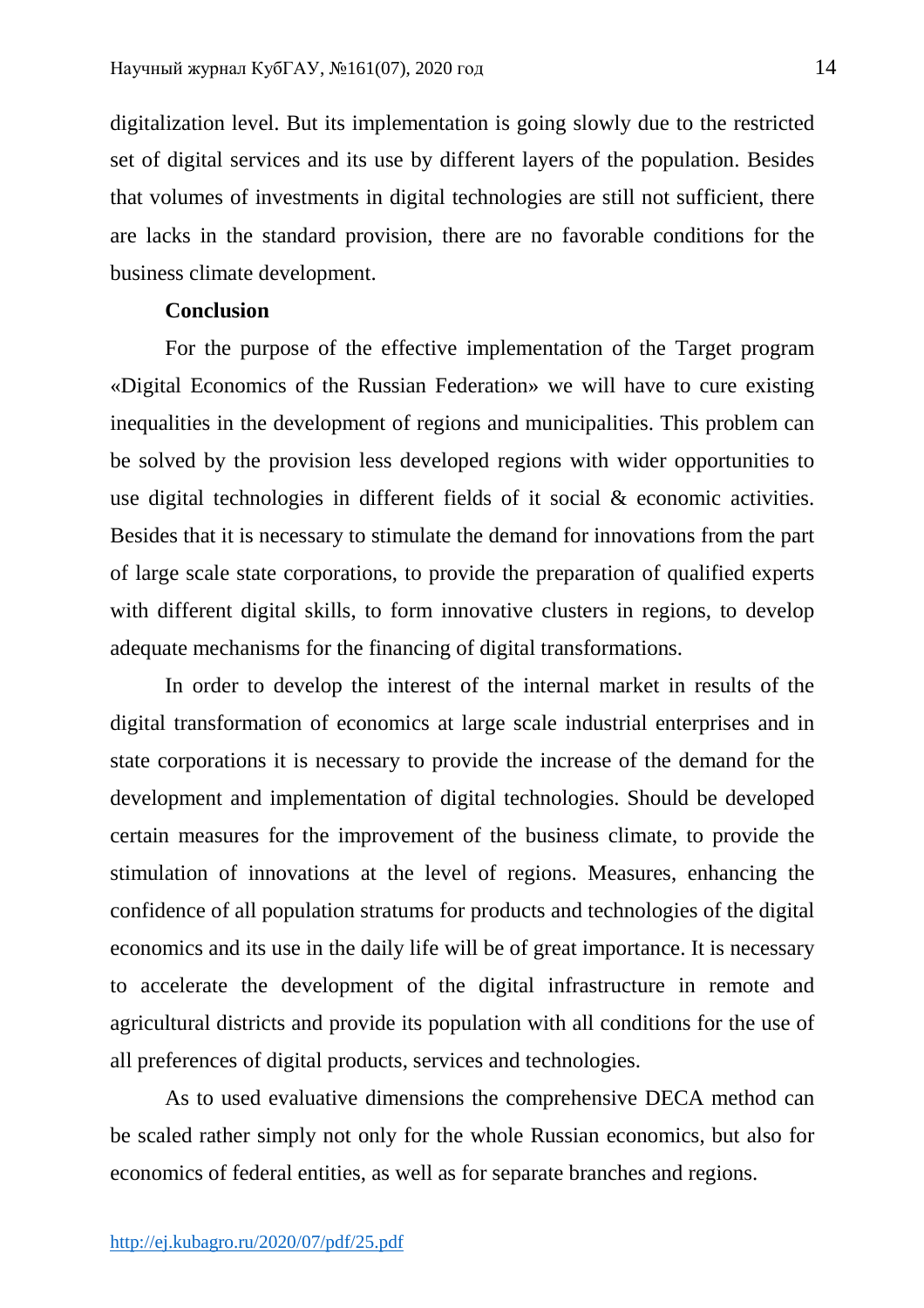digitalization level. But its implementation is going slowly due to the restricted set of digital services and its use by different layers of the population. Besides that volumes of investments in digital technologies are still not sufficient, there are lacks in the standard provision, there are no favorable conditions for the business climate development.

# **Conclusion**

For the purpose of the effective implementation of the Target program «Digital Economics of the Russian Federation» we will have to cure existing inequalities in the development of regions and municipalities. This problem can be solved by the provision less developed regions with wider opportunities to use digital technologies in different fields of it social & economic activities. Besides that it is necessary to stimulate the demand for innovations from the part of large scale state corporations, to provide the preparation of qualified experts with different digital skills, to form innovative clusters in regions, to develop adequate mechanisms for the financing of digital transformations.

In order to develop the interest of the internal market in results of the digital transformation of economics at large scale industrial enterprises and in state corporations it is necessary to provide the increase of the demand for the development and implementation of digital technologies. Should be developed certain measures for the improvement of the business climate, to provide the stimulation of innovations at the level of regions. Measures, enhancing the confidence of all population stratums for products and technologies of the digital economics and its use in the daily life will be of great importance. It is necessary to accelerate the development of the digital infrastructure in remote and agricultural districts and provide its population with all conditions for the use of all preferences of digital products, services and technologies.

As to used evaluative dimensions the comprehensive DECA method can be scaled rather simply not only for the whole Russian economics, but also for economics of federal entities, as well as for separate branches and regions.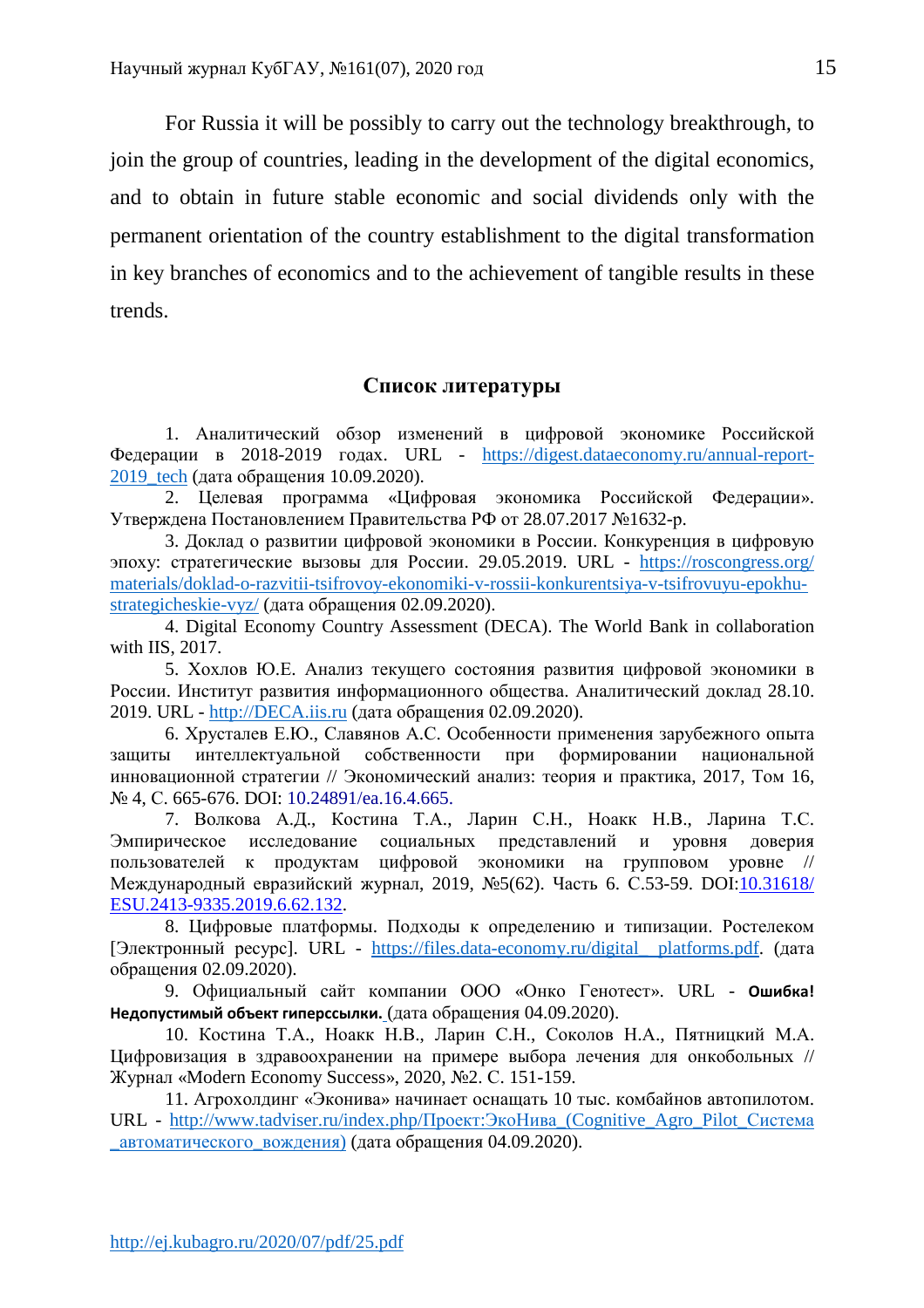For Russia it will be possibly to carry out the technology breakthrough, to join the group of countries, leading in the development of the digital economics, and to obtain in future stable economic and social dividends only with the permanent orientation of the country establishment to the digital transformation in key branches of economics and to the achievement of tangible results in these trends.

# **Список литературы**

1. Аналитический обзор изменений в цифровой экономике Российской Федерации в 2018-2019 годах. URL - https://digest.dataeconomy.ru/annual-report-2019\_tech (дата обращения 10.09.2020).

2. Целевая программа «Цифровая экономика Российской Федерации». Утверждена Постановлением Правительства РФ от 28.07.2017 №1632-р.

3. Доклад о развитии цифровой экономики в России. Конкуренция в цифровую эпоху: стратегические вызовы для России. 29.05.2019. URL - https://roscongress.org/ materials/doklad-o-razvitii-tsifrovoy-ekonomiki-v-rossii-konkurentsiya-v-tsifrovuyu-epokhustrategicheskie-vyz/ (дата обращения 02.09.2020).

4. Digital Economy Country Assessment (DECA). The World Bank in collaboration with IIS, 2017.

5. Хохлов Ю.Е. Анализ текущего состояния развития цифровой экономики в России. Институт развития информационного общества. Аналитический доклад 28.10. 2019. URL - http://DECA.iis.ru (дата обращения 02.09.2020).

6. Хрусталев Е.Ю., Славянов А.С. Особенности применения зарубежного опыта защиты интеллектуальной собственности при формировании национальной инновационной стратегии // Экономический анализ: теория и практика, 2017, Том 16, № 4, С. 665-676, DOI: 10.24891/ea.16.4.665.

7. Волкова А.Д., Костина Т.А., Ларин С.Н., Ноакк Н.В., Ларина Т.С. Эмпирическое исследование социальных представлений и уровня доверия пользователей к продуктам цифровой экономики на групповом уровне // Международный евразийский журнал, 2019, №5(62). Часть 6. С.53-59. DOI:10.31618/ ESU.2413-9335.2019.6.62.132.

8. Цифровые платформы. Подходы к определению и типизации. Ростелеком [Электронный ресурс]. URL - https://files.data-economy.ru/digital\_ platforms.pdf. (дата обращения 02.09.2020).

9. Официальный сайт компании ООО «Онко Генотест». URL - **Ошибка! Недопустимый объект гиперссылки.** (дата обращения 04.09.2020).

10. Костина Т.А., Ноакк Н.В., Ларин С.Н., Соколов Н.А., Пятницкий М.А. Цифровизация в здравоохранении на примере выбора лечения для онкобольных // Журнал «Modern Economy Success», 2020, №2. С. 151-159.

11. Агрохолдинг «Эконива» начинает оснащать 10 тыс. комбайнов автопилотом. URL - http://www.tadviser.ru/index.php/Проект:ЭкоНива\_(Cognitive\_Agro\_Pilot\_Система автоматического вождения) (дата обращения 04.09.2020).